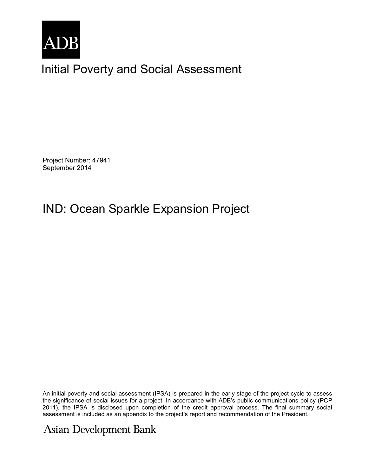

Initial Poverty and Social Assessment

Project Number: 47941 September 2014

## IND: Ocean Sparkle Expansion Project

An initial poverty and social assessment (IPSA) is prepared in the early stage of the project cycle to assess the significance of social issues for a project. In accordance with ADB's public communications policy (PCP 2011), the IPSA is disclosed upon completion of the credit approval process. The final summary social assessment is included as an appendix to the project's report and recommendation of the President.

## **Asian Development Bank**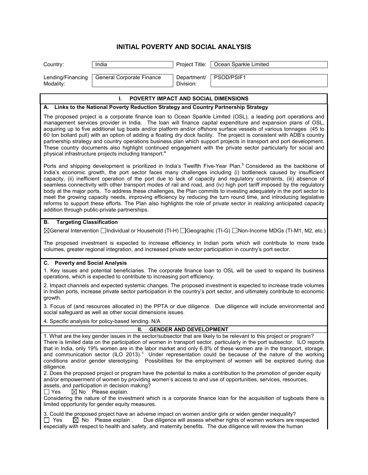## **INITIAL POVERTY AND SOCIAL ANALYSIS**

| Country:                                                                                                                                                                                                                                                                                                                                                                                                                                                                                                                                                                                                                                                                                                                                                                                                                                                                                                                   | India                     | Project Title:           | Ocean Sparkle Limited |  |
|----------------------------------------------------------------------------------------------------------------------------------------------------------------------------------------------------------------------------------------------------------------------------------------------------------------------------------------------------------------------------------------------------------------------------------------------------------------------------------------------------------------------------------------------------------------------------------------------------------------------------------------------------------------------------------------------------------------------------------------------------------------------------------------------------------------------------------------------------------------------------------------------------------------------------|---------------------------|--------------------------|-----------------------|--|
| Lending/Financing<br>Modality:                                                                                                                                                                                                                                                                                                                                                                                                                                                                                                                                                                                                                                                                                                                                                                                                                                                                                             | General Corporate Finance | Department/<br>Division: | PSOD/PSIF1            |  |
| I.<br><b>POVERTY IMPACT AND SOCIAL DIMENSIONS</b>                                                                                                                                                                                                                                                                                                                                                                                                                                                                                                                                                                                                                                                                                                                                                                                                                                                                          |                           |                          |                       |  |
| A. Links to the National Poverty Reduction Strategy and Country Partnership Strategy                                                                                                                                                                                                                                                                                                                                                                                                                                                                                                                                                                                                                                                                                                                                                                                                                                       |                           |                          |                       |  |
| The proposed project is a corporate finance loan to Ocean Sparkle Limited (OSL), a leading port operations and<br>management services provider in India. The loan will finance capital expenditure and expansion plans of OSL,<br>acquiring up to five additional tug boats and/or platform and/or offshore surface vessels of various tonnages (45 to<br>60 ton bollard pull) with an option of adding a floating dry dock facility. The project is consistent with ADB's country<br>partnership strategy and country operations business plan which support projects in transport and port development.<br>These country documents also highlight continued engagement with the private sector particularly for social and<br>physical infrastructure projects including transport. <sup>8</sup>                                                                                                                         |                           |                          |                       |  |
| Ports and shipping development is prioritized in India's Twelfth Five-Year Plan. <sup>b</sup> Considered as the backbone of<br>India's economic growth, the port sector faces many challenges including (i) bottleneck caused by insufficient<br>capacity, (ii) inefficient operation of the port due to lack of capacity and regulatory constraints, (iii) absence of<br>seamless connectivity with other transport modes of rail and road, and (iv) high port tariff imposed by the regulatory<br>body at the major ports. To address these challenges, the Plan commits to investing adequately in the port sector to<br>meet the growing capacity needs, improving efficiency by reducing the turn round time, and introducing legislative<br>reforms to support these efforts. The Plan also highlights the role of private sector in realizing anticipated capacity<br>addition through public-private partnerships. |                           |                          |                       |  |
| <b>Targeting Classification</b><br>В.                                                                                                                                                                                                                                                                                                                                                                                                                                                                                                                                                                                                                                                                                                                                                                                                                                                                                      |                           |                          |                       |  |
| ⊠General Intervention □Individual or Household (TI-H) □Geographic (TI-G) □Non-Income MDGs (TI-M1, M2, etc.)                                                                                                                                                                                                                                                                                                                                                                                                                                                                                                                                                                                                                                                                                                                                                                                                                |                           |                          |                       |  |
| The proposed investment is expected to increase efficiency in Indian ports which will contribute to more trade<br>volumes, greater regional integration, and increased private sector participation in country's port sector.                                                                                                                                                                                                                                                                                                                                                                                                                                                                                                                                                                                                                                                                                              |                           |                          |                       |  |
| C. Poverty and Social Analysis                                                                                                                                                                                                                                                                                                                                                                                                                                                                                                                                                                                                                                                                                                                                                                                                                                                                                             |                           |                          |                       |  |
| 1. Key issues and potential beneficiaries. The corporate finance loan to OSL will be used to expand its business<br>operations, which is expected to contribute to increasing port efficiency.                                                                                                                                                                                                                                                                                                                                                                                                                                                                                                                                                                                                                                                                                                                             |                           |                          |                       |  |
| 2. Impact channels and expected systemic changes. The proposed investment is expected to increase trade volumes<br>in Indian ports, increase private sector participation in the country's port sector, and ultimately contribute to economic<br>growth.                                                                                                                                                                                                                                                                                                                                                                                                                                                                                                                                                                                                                                                                   |                           |                          |                       |  |
| 3. Focus of (and resources allocated in) the PPTA or due diligence. Due diligence will include environmental and<br>social safeguard as well as other social dimensions issues.                                                                                                                                                                                                                                                                                                                                                                                                                                                                                                                                                                                                                                                                                                                                            |                           |                          |                       |  |
| 4. Specific analysis for policy-based lending. N/A                                                                                                                                                                                                                                                                                                                                                                                                                                                                                                                                                                                                                                                                                                                                                                                                                                                                         |                           |                          |                       |  |
| Ш.<br><b>GENDER AND DEVELOPMENT</b>                                                                                                                                                                                                                                                                                                                                                                                                                                                                                                                                                                                                                                                                                                                                                                                                                                                                                        |                           |                          |                       |  |
| 1. What are the key gender issues in the sector/subsector that are likely to be relevant to this project or program?<br>There is limited data on the participation of women in transport sector, particularly in the port subsector. ILO reports<br>that in India, only 19% women are in the labor market and only 6.8% of these women are in the transport, storage,<br>and communication sector (ILO 2013). <sup>c</sup> Under representation could be because of the nature of the working<br>conditions and/or gender stereotyping. Possibilities for the employment of women will be explored during due<br>diligence.                                                                                                                                                                                                                                                                                                |                           |                          |                       |  |

2. Does the proposed project or program have the potential to make a contribution to the promotion of gender equity and/or empowerment of women by providing women's access to and use of opportunities, services, resources,

assets, and participation in decision making?<br>  $\Box$  Yes  $\Box$  No Please explain.  $\overline{\boxtimes}$  No Please explain.

Considering the nature of the investment which is a corporate finance loan for the acquisition of tugboats there is limited opportunity for gender equity measures.

3. Could the proposed project have an adverse impact on women and/or girls or widen gender inequality?  $\Box$  Yes  $\Box$  No Please explain . Due diligence will assess whether rights of women workers are r Due diligence will assess whether rights of women workers are respected especially with respect to health and safety, and maternity benefits. The due diligence will review the human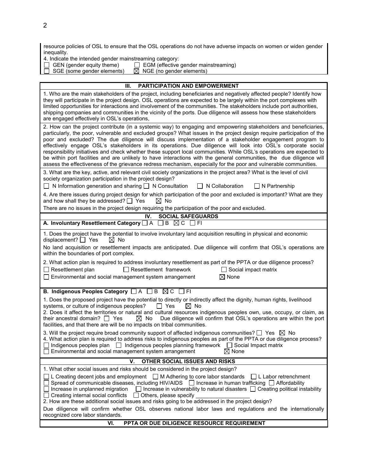| resource policies of OSL to ensure that the OSL operations do not have adverse impacts on women or widen gender<br>inequality.                                                                                                                                                                                                                                                                                                                                                                                                                                                                                                                                                                                                                                                                                                            |  |  |  |
|-------------------------------------------------------------------------------------------------------------------------------------------------------------------------------------------------------------------------------------------------------------------------------------------------------------------------------------------------------------------------------------------------------------------------------------------------------------------------------------------------------------------------------------------------------------------------------------------------------------------------------------------------------------------------------------------------------------------------------------------------------------------------------------------------------------------------------------------|--|--|--|
| 4. Indicate the intended gender mainstreaming category:                                                                                                                                                                                                                                                                                                                                                                                                                                                                                                                                                                                                                                                                                                                                                                                   |  |  |  |
| GEN (gender equity theme)<br>EGM (effective gender mainstreaming)<br>$\Box$<br>$\boxtimes$ NGE (no gender elements)<br>SGE (some gender elements)                                                                                                                                                                                                                                                                                                                                                                                                                                                                                                                                                                                                                                                                                         |  |  |  |
|                                                                                                                                                                                                                                                                                                                                                                                                                                                                                                                                                                                                                                                                                                                                                                                                                                           |  |  |  |
| Ш.<br><b>PARTICIPATION AND EMPOWERMENT</b>                                                                                                                                                                                                                                                                                                                                                                                                                                                                                                                                                                                                                                                                                                                                                                                                |  |  |  |
| 1. Who are the main stakeholders of the project, including beneficiaries and negatively affected people? Identify how<br>they will participate in the project design. OSL operations are expected to be largely within the port complexes with<br>limited opportunities for interactions and involvement of the communities. The stakeholders include port authorities,<br>shipping companies and communities in the vicinity of the ports. Due diligence will assess how these stakeholders<br>are engaged effectively in OSL's operations,                                                                                                                                                                                                                                                                                              |  |  |  |
| 2. How can the project contribute (in a systemic way) to engaging and empowering stakeholders and beneficiaries,<br>particularly, the poor, vulnerable and excluded groups? What issues in the project design require participation of the<br>poor and excluded? The due diligence will discuss implementation of a stakeholder engagement program to<br>effectively engage OSL's stakeholders in its operations. Due diligence will look into OSL's corporate social<br>responsibility initiatives and check whether these support local communities. While OSL's operations are expected to<br>be within port facilities and are unlikely to have interactions with the general communities, the due diligence will<br>assess the effectiveness of the grievance redress mechanism, especially for the poor and vulnerable communities. |  |  |  |
| 3. What are the key, active, and relevant civil society organizations in the project area? What is the level of civil<br>society organization participation in the project design?<br>$\Box$ N Information generation and sharing $\Box$ N Consultation<br>$\Box$ N Collaboration                                                                                                                                                                                                                                                                                                                                                                                                                                                                                                                                                         |  |  |  |
| $\Box$ N Partnership<br>4. Are there issues during project design for which participation of the poor and excluded is important? What are they                                                                                                                                                                                                                                                                                                                                                                                                                                                                                                                                                                                                                                                                                            |  |  |  |
| and how shall they be addressed? $\Box$ Yes<br>$\boxtimes$ No                                                                                                                                                                                                                                                                                                                                                                                                                                                                                                                                                                                                                                                                                                                                                                             |  |  |  |
| There are no issues in the project design requiring the participation of the poor and excluded.                                                                                                                                                                                                                                                                                                                                                                                                                                                                                                                                                                                                                                                                                                                                           |  |  |  |
| IV.<br><b>SOCIAL SAFEGUARDS</b><br>A. Involuntary Resettlement Category $\Box$ A $\Box$ B $\boxtimes$ C $\Box$ FI                                                                                                                                                                                                                                                                                                                                                                                                                                                                                                                                                                                                                                                                                                                         |  |  |  |
| 1. Does the project have the potential to involve involuntary land acquisition resulting in physical and economic                                                                                                                                                                                                                                                                                                                                                                                                                                                                                                                                                                                                                                                                                                                         |  |  |  |
| displacement? $\Box$ Yes<br>$\boxtimes$ No                                                                                                                                                                                                                                                                                                                                                                                                                                                                                                                                                                                                                                                                                                                                                                                                |  |  |  |
| No land acquisition or resettlement impacts are anticipated. Due diligence will confirm that OSL's operations are<br>within the boundaries of port complex.                                                                                                                                                                                                                                                                                                                                                                                                                                                                                                                                                                                                                                                                               |  |  |  |
| 2. What action plan is required to address involuntary resettlement as part of the PPTA or due diligence process?                                                                                                                                                                                                                                                                                                                                                                                                                                                                                                                                                                                                                                                                                                                         |  |  |  |
| $\Box$ Resettlement plan<br>$\Box$ Resettlement framework<br>$\Box$ Social impact matrix                                                                                                                                                                                                                                                                                                                                                                                                                                                                                                                                                                                                                                                                                                                                                  |  |  |  |
| $\boxtimes$ None<br>$\Box$ Environmental and social management system arrangement                                                                                                                                                                                                                                                                                                                                                                                                                                                                                                                                                                                                                                                                                                                                                         |  |  |  |
| B. Indigenous Peoples Category □ A □ B ⊠ C □ FI                                                                                                                                                                                                                                                                                                                                                                                                                                                                                                                                                                                                                                                                                                                                                                                           |  |  |  |
| 1. Does the proposed project have the potential to directly or indirectly affect the dignity, human rights, livelihood<br>systems, or culture of indigenous peoples?<br>T Yes<br>$\boxtimes$ No<br>2. Does it affect the territories or natural and cultural resources indigenous peoples own, use, occupy, or claim, as<br>Due diligence will confirm that OSL's operations are within the port<br>their ancestral domain? $\Box$ Yes<br>$\boxtimes$ No<br>facilities, and that there are will be no impacts on tribal communities.                                                                                                                                                                                                                                                                                                      |  |  |  |
| 3. Will the project require broad community support of affected indigenous communities? $\Box$ Yes $\boxtimes$ No<br>4. What action plan is required to address risks to indigenous peoples as part of the PPTA or due diligence process?<br>$\Box$ Indigenous peoples plan $\Box$ Indigenous peoples planning framework $\Box$ Social Impact matrix<br>$\boxtimes$ None<br>$\Box$ Environmental and social management system arrangement                                                                                                                                                                                                                                                                                                                                                                                                 |  |  |  |
| V.<br>OTHER SOCIAL ISSUES AND RISKS                                                                                                                                                                                                                                                                                                                                                                                                                                                                                                                                                                                                                                                                                                                                                                                                       |  |  |  |
| 1. What other social issues and risks should be considered in the project design?                                                                                                                                                                                                                                                                                                                                                                                                                                                                                                                                                                                                                                                                                                                                                         |  |  |  |
| $\Box$ L Creating decent jobs and employment $\Box$ M Adhering to core labor standards $\Box$ L Labor retrenchment<br>$\Box$ Spread of communicable diseases, including HIV/AIDS $\Box$ Increase in human trafficking $\Box$ Affordability<br>$\Box$ Increase in unplanned migration<br>$\Box$ Increase in vulnerability to natural disasters $\Box$ Creating political instability<br>$\Box$ Creating internal social conflicts<br>$\Box$ Others, please specify<br>2. How are these additional social issues and risks going to be addressed in the project design?                                                                                                                                                                                                                                                                     |  |  |  |
| Due diligence will confirm whether OSL observes national labor laws and regulations and the internationally<br>recognized core labor standards.                                                                                                                                                                                                                                                                                                                                                                                                                                                                                                                                                                                                                                                                                           |  |  |  |

## **VI. PPTA OR DUE DILIGENCE RESOURCE REQUIREMENT**